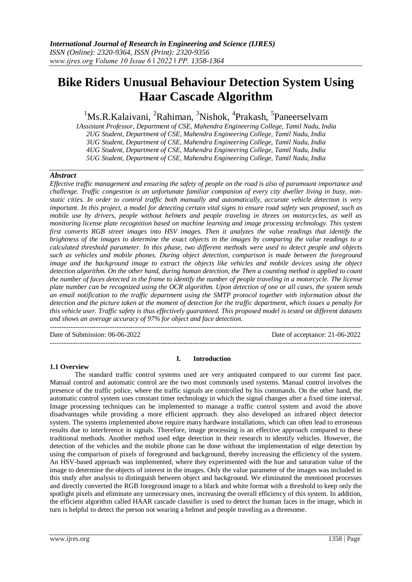# **Bike Riders Unusual Behaviour Detection System Using Haar Cascade Algorithm**

<sup>1</sup>Ms.R.Kalaivani, <sup>2</sup>Rahiman, <sup>3</sup>Nishok, <sup>4</sup>Prakash, <sup>5</sup>Paneerselvam

*1Assistant Professor, Department of CSE, Mahendra Engineering College, Tamil Nadu, India 2UG Student, Department of CSE, Mahendra Engineering College, Tamil Nadu, India 3UG Student, Department of CSE, Mahendra Engineering College, Tamil Nadu, India 4UG Student, Department of CSE, Mahendra Engineering College, Tamil Nadu, India 5UG Student, Department of CSE, Mahendra Engineering College, Tamil Nadu, India*

# *Abstract*

*Effective traffic management and ensuring the safety of people on the road is also of paramount importance and challenge. Traffic congestion is an unfortunate familiar companion of every city dweller living in busy, nonstatic cities. In order to control traffic both manually and automatically, accurate vehicle detection is very important. In this project, a model for detecting certain vital signs to ensure road safety was proposed, such as mobile use by drivers, people without helmets and people traveling in threes on motorcycles, as well as monitoring license plate recognition based on machine learning and image processing technology. This system first converts RGB street images into HSV images. Then it analyzes the value readings that identify the brightness of the images to determine the exact objects in the images by comparing the value readings to a calculated threshold parameter. In this phase, two different methods were used to detect people and objects such as vehicles and mobile phones. During object detection, comparison is made between the foreground image and the background image to extract the objects like vehicles and mobile devices using the object detection algorithm. On the other hand, during human detection, the Then a counting method is applied to count the number of faces detected in the frame to identify the number of people traveling in a motorcycle. The license plate number can be recognized using the OCR algorithm. Upon detection of one or all cases, the system sends an email notification to the traffic department using the SMTP protocol together with information about the detection and the picture taken at the moment of detection for the traffic department, which issues a penalty for this vehicle user. Traffic safety is thus effectively guaranteed. This proposed model is tested on different datasets and shows an average accuracy of 97% for object and face detection.*

--------------------------------------------------------------------------------------------------------------------------------------- Date of Submission: 06-06-2022 Date of acceptance: 21-06-2022

---------------------------------------------------------------------------------------------------------------------------------------

#### **1.1 Overview**

#### **I. Introduction**

The standard traffic control systems used are very antiquated compared to our current fast pace. Manual control and automatic control are the two most commonly used systems. Manual control involves the presence of the traffic police, where the traffic signals are controlled by his commands. On the other hand, the automatic control system uses constant timer technology in which the signal changes after a fixed time interval. Image processing techniques can be implemented to manage a traffic control system and avoid the above disadvantages while providing a more efficient approach. they also developed an infrared object detector system. The systems implemented above require many hardware installations, which can often lead to erroneous results due to interference in signals. Therefore, image processing is an effective approach compared to these traditional methods. Another method used edge detection in their research to identify vehicles. However, the detection of the vehicles and the mobile phone can be done without the implementation of edge detection by using the comparison of pixels of foreground and background, thereby increasing the efficiency of the system. An HSV-based approach was implemented, where they experimented with the hue and saturation value of the image to determine the objects of interest in the images. Only the value parameter of the images was included in this study after analysis to distinguish between object and background. We eliminated the mentioned processes and directly converted the RGB foreground image to a black and white format with a threshold to keep only the spotlight pixels and eliminate any unnecessary ones, increasing the overall efficiency of this system. In addition, the efficient algorithm called HAAR cascade classifier is used to detect the human faces in the image, which in turn is helpful to detect the person not wearing a helmet and people traveling as a threesome.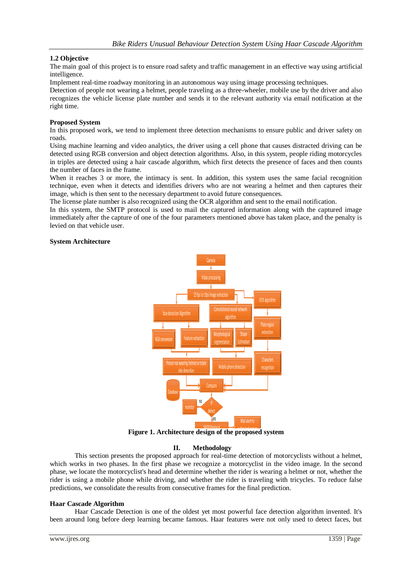# **1.2 Objective**

The main goal of this project is to ensure road safety and traffic management in an effective way using artificial intelligence.

Implement real-time roadway monitoring in an autonomous way using image processing techniques.

Detection of people not wearing a helmet, people traveling as a three-wheeler, mobile use by the driver and also recognizes the vehicle license plate number and sends it to the relevant authority via email notification at the right time.

#### **Proposed System**

In this proposed work, we tend to implement three detection mechanisms to ensure public and driver safety on roads.

Using machine learning and video analytics, the driver using a cell phone that causes distracted driving can be detected using RGB conversion and object detection algorithms. Also, in this system, people riding motorcycles in triples are detected using a hair cascade algorithm, which first detects the presence of faces and then counts the number of faces in the frame.

When it reaches 3 or more, the intimacy is sent. In addition, this system uses the same facial recognition technique, even when it detects and identifies drivers who are not wearing a helmet and then captures their image, which is then sent to the necessary department to avoid future consequences.

The license plate number is also recognized using the OCR algorithm and sent to the email notification.

In this system, the SMTP protocol is used to mail the captured information along with the captured image immediately after the capture of one of the four parameters mentioned above has taken place, and the penalty is levied on that vehicle user.

#### **System Architecture**



**Figure 1. Architecture design of the proposed system**

#### **II. Methodology**

This section presents the proposed approach for real-time detection of motorcyclists without a helmet, which works in two phases. In the first phase we recognize a motorcyclist in the video image. In the second phase, we locate the motorcyclist's head and determine whether the rider is wearing a helmet or not, whether the rider is using a mobile phone while driving, and whether the rider is traveling with tricycles. To reduce false predictions, we consolidate the results from consecutive frames for the final prediction.

#### **Haar Cascade Algorithm**

Haar Cascade Detection is one of the oldest yet most powerful face detection algorithm invented. It's been around long before deep learning became famous. Haar features were not only used to detect faces, but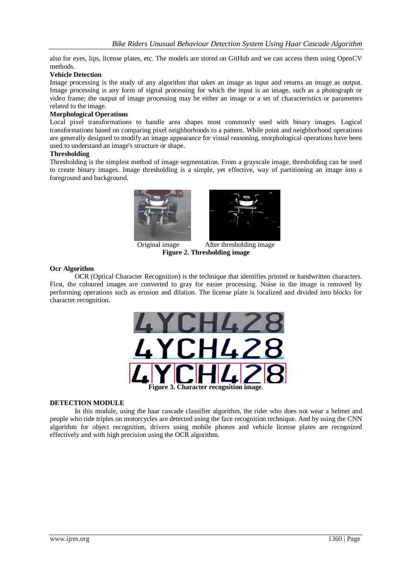also for eyes, lips, license plates, etc. The models are stored on GitHub and we can access them using OpenCV methods.

#### **Vehicle Detection**

Image processing is the study of any algorithm that takes an image as input and returns an image as output. Image processing is any form of signal processing for which the input is an image, such as a photograph or video frame; the output of image processing may be either an image or a set of characteristics or parameters related to the image.

#### **Morphological Operations**

Local pixel transformations to handle area shapes most commonly used with binary images. Logical transformations based on comparing pixel neighborhoods to a pattern. While point and neighborhood operations are generally designed to modify an image appearance for visual reasoning, morphological operations have been used to understand an image's structure or shape.

#### **Thresholding**

Thresholding is the simplest method of image segmentation. From a grayscale image, thresholding can be used to create binary images. Image thresholding is a simple, yet effective, way of partitioning an image into a foreground and background.





Original image After thresholding image **Figure 2. Thresholding image**

#### **Ocr Algorithm**

OCR (Optical Character Recognition) is the technique that identifies printed or handwritten characters. First, the coloured images are converted to gray for easier processing. Noise in the image is removed by performing operations such as erosion and dilation. The license plate is localized and divided into blocks for character recognition.



#### **DETECTION MODULE**

In this module, using the haar cascade classifier algorithm, the rider who does not wear a helmet and people who ride triples on motorcycles are detected using the face recognition technique. And by using the CNN algorithm for object recognition, drivers using mobile phones and vehicle license plates are recognized effectively and with high precision using the OCR algorithm.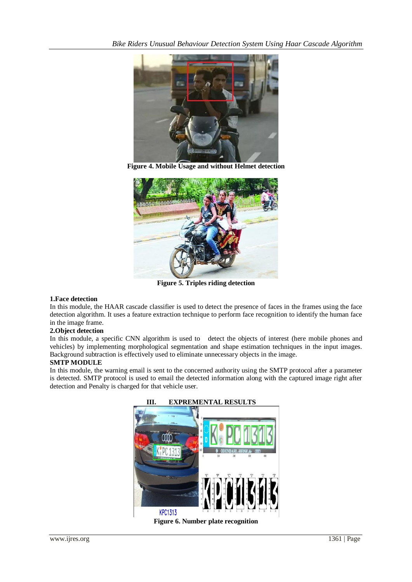

**Figure 4. Mobile Usage and without Helmet detection**



**Figure 5. Triples riding detection**

# **1.Face detection**

In this module, the HAAR cascade classifier is used to detect the presence of faces in the frames using the face detection algorithm. It uses a feature extraction technique to perform face recognition to identify the human face in the image frame.

# **2.Object detection**

In this module, a specific CNN algorithm is used to detect the objects of interest (here mobile phones and vehicles) by implementing morphological segmentation and shape estimation techniques in the input images. Background subtraction is effectively used to eliminate unnecessary objects in the image.

# **SMTP MODULE**

In this module, the warning email is sent to the concerned authority using the SMTP protocol after a parameter is detected. SMTP protocol is used to email the detected information along with the captured image right after detection and Penalty is charged for that vehicle user.



**Figure 6. Number plate recognition**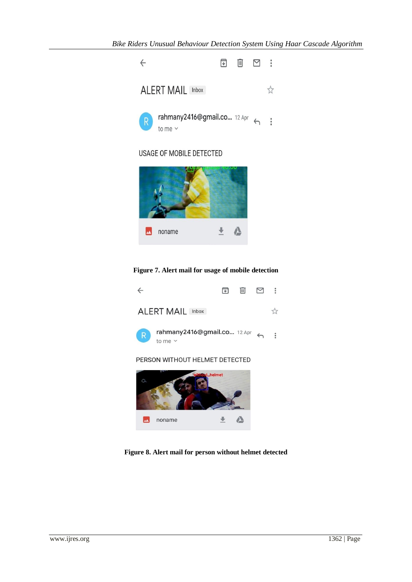

# USAGE OF MOBILE DETECTED



# **Figure 7. Alert mail for usage of mobile detection**



**Figure 8. Alert mail for person without helmet detected**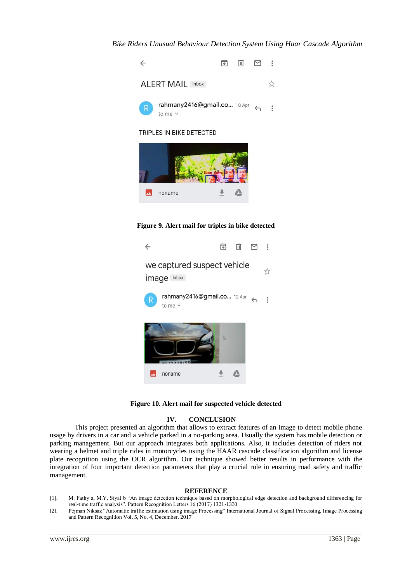

**Figure 9. Alert mail for triples in bike detected**



**Figure 10. Alert mail for suspected vehicle detected**

# **IV. CONCLUSION**

This project presented an algorithm that allows to extract features of an image to detect mobile phone usage by drivers in a car and a vehicle parked in a no-parking area. Usually the system has mobile detection or parking management. But our approach integrates both applications. Also, it includes detection of riders not wearing a helmet and triple rides in motorcycles using the HAAR cascade classification algorithm and license plate recognition using the OCR algorithm. Our technique showed better results in performance with the integration of four important detection parameters that play a crucial role in ensuring road safety and traffic management.

#### **REFERENCE**

- [1]. M. Fathy a, M.Y. Siyal b "An image detection technique based on morphological edge detection and background differencing for real-time traffic analysis". Pattern Recognition Letters 16 (2017) 1321-1330
- [2]. Pejman Niksaz "Automatic traffic estimation using image Processing" International Journal of Signal Processing, Image Processing and Pattern Recognition Vol. 5, No. 4, December, 2017